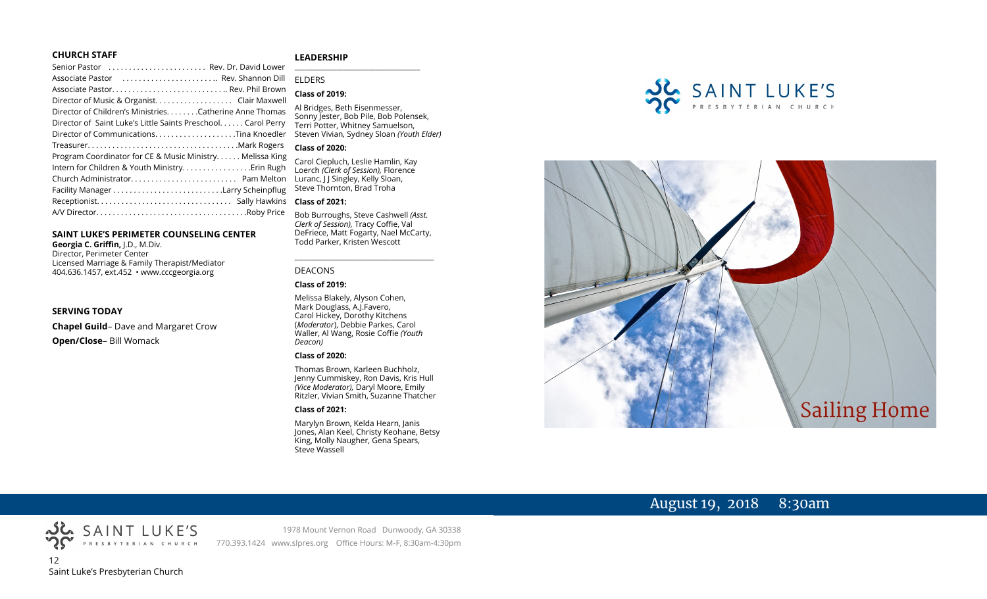#### **CHURCH STAFF**

#### **LEADERSHIP**

| Senior Pastor  Rev. Dr. David Lower                           | $\overline{a}$ |
|---------------------------------------------------------------|----------------|
| Associate Pastor  Rev. Shannon Dill                           | F              |
|                                                               | $\overline{c}$ |
| Director of Music & Organist. Clair Maxwell                   |                |
| Director of Children's MinistriesCatherine Anne Thomas        | A<br>S         |
| Director of Saint Luke's Little Saints Preschool. Carol Perry | T              |
| Director of CommunicationsTina Knoedler                       | S              |
|                                                               | $\mathsf{C}$   |
| Program Coordinator for CE & Music Ministry Melissa King      | $\overline{C}$ |
|                                                               | Ь              |
|                                                               | L              |
|                                                               | S              |
|                                                               | C              |
|                                                               | B              |
|                                                               |                |

#### **SAINT LUKE'S PERIMETER COUNSELING CENTER**

**Georgia C. Griffin,** J.D., M.Div. Director, Perimeter Center Licensed Marriage & Family Therapist/Mediator 404.636.1457, ext.452 • www.cccgeorgia.org

#### **SERVING TODAY**

**Chapel Guild**– Dave and Margaret Crow

**Open/Close**– Bill Womack

#### **\_\_\_\_\_\_\_\_\_\_\_\_\_\_\_\_\_\_\_\_\_\_\_\_\_\_\_\_\_\_\_\_\_\_\_\_\_\_\_** ELDERS

**Class of 2019:**

Al Bridges, Beth Eisenmesser, Sonny Jester, Bob Pile, Bob Polensek, Terri Potter, Whitney Samuelson, Steven Vivian*,* Sydney Sloan *(Youth Elder)*

#### **Class of 2020:**

Carol Ciepluch, Leslie Hamlin, Kay Loerch *(Clerk of Session),* Florence Luranc, J J Singley, Kelly Sloan, Steve Thornton, Brad Troha

#### **Class of 2021:**

Bob Burroughs, Steve Cashwell *(Asst. Clerk of Session),* Tracy Coffie, Val DeFriece, Matt Fogarty, Nael McCarty, Todd Parker, Kristen Wescott

\_\_\_\_\_\_\_\_\_\_\_\_\_\_\_\_\_\_\_\_\_\_\_\_\_\_\_\_\_\_\_\_\_\_\_\_

#### DEACONS

#### **Class of 2019:**

Melissa Blakely, Alyson Cohen, Mark Douglass, A.J.Favero, Carol Hickey, Dorothy Kitchens (*Moderator*), Debbie Parkes, Carol Waller, Al Wang, Rosie Coffie *(Youth Deacon)* 

#### **Class of 2020:**

Thomas Brown, Karleen Buchholz, Jenny Cummiskey, Ron Davis, Kris Hull *(Vice Moderator),* Daryl Moore, Emily Ritzler, Vivian Smith, Suzanne Thatcher

#### **Class of 2021:**

Marylyn Brown, Kelda Hearn, Janis Jones, Alan Keel, Christy Keohane, Betsy King, Molly Naugher, Gena Spears, Steve Wassell





# August 19, 2018 8:30am



1978 Mount Vernon Road Dunwoody, GA 30338 770.393.1424 www.slpres.org Office Hours: M-F, 8:30am-4:30pm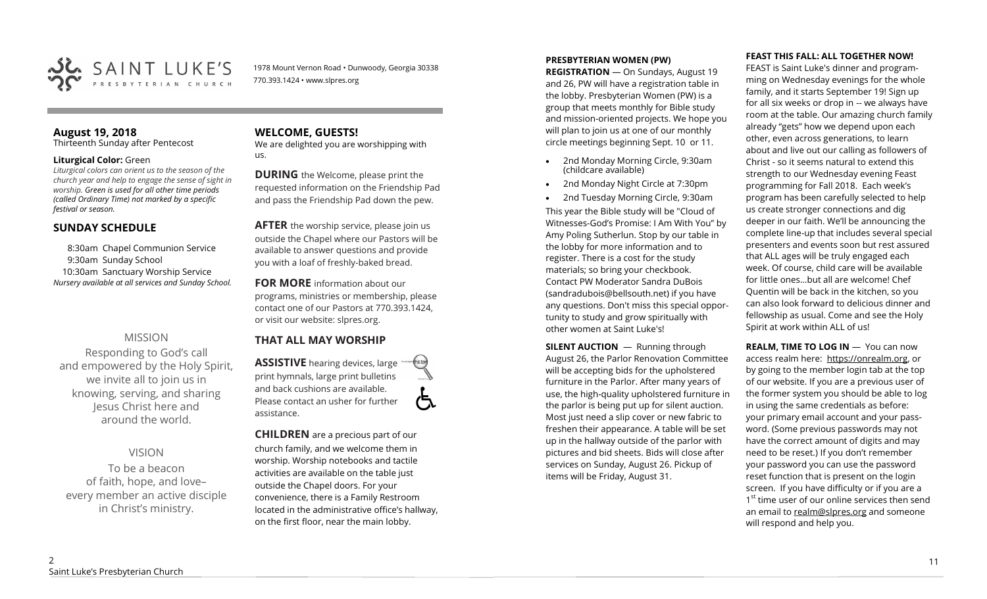

1978 Mount Vernon Road • Dunwoody, Georgia 30338 770.393.1424 • www.slpres.org

# **August 19, 2018**

Thirteenth Sunday after Pentecost

#### **Liturgical Color:** Green

*Liturgical colors can orient us to the season of the church year and help to engage the sense of sight in worship. Green is used for all other time periods (called Ordinary Time) not marked by a specific festival or season.*

## **SUNDAY SCHEDULE**

8:30am Chapel Communion Service 9:30am Sunday School 10:30am Sanctuary Worship Service *Nursery available at all services and Sunday School.* 

# MISSION

Responding to God's call and empowered by the Holy Spirit, we invite all to join us in knowing, serving, and sharing Jesus Christ here and around the world.

# VISION

To be a beacon of faith, hope, and love– every member an active disciple in Christ's ministry.

#### **WELCOME, GUESTS!**

We are delighted you are worshipping with us.

**DURING** the Welcome, please print the requested information on the Friendship Pad and pass the Friendship Pad down the pew.

**AFTER** the worship service, please join us outside the Chapel where our Pastors will be available to answer questions and provide you with a loaf of freshly-baked bread.

**FOR MORE** information about our programs, ministries or membership, please contact one of our Pastors at 770.393.1424, or visit our website: slpres.org.

# **THAT ALL MAY WORSHIP**

**ASSISTIVE** hearing devices, large print hymnals, large print bulletins and back cushions are available. (气 Please contact an usher for further assistance.

**CHILDREN** are a precious part of our church family, and we welcome them in worship. Worship notebooks and tactile activities are available on the table just outside the Chapel doors. For your convenience, there is a Family Restroom located in the administrative office's hallway, on the first floor, near the main lobby.

#### **PRESBYTERIAN WOMEN (PW)**

**REGISTRATION** — On Sundays, August 19 and 26, PW will have a registration table in the lobby. Presbyterian Women (PW) is a group that meets monthly for Bible study and mission-oriented projects. We hope you will plan to join us at one of our monthly circle meetings beginning Sept. 10 or 11.

- 2nd Monday Morning Circle, 9:30am (childcare available)
- 2nd Monday Night Circle at 7:30pm
- 2nd Tuesday Morning Circle, 9:30am

This year the Bible study will be "Cloud of Witnesses-God's Promise: I Am With You" by Amy Poling Sutherlun. Stop by our table in the lobby for more information and to register. There is a cost for the study materials; so bring your checkbook. Contact PW Moderator Sandra DuBois (sandradubois@bellsouth.net) if you have any questions. Don't miss this special opportunity to study and grow spiritually with other women at Saint Luke's!

**SILENT AUCTION** — Running through August 26, the Parlor Renovation Committee will be accepting bids for the upholstered furniture in the Parlor. After many years of use, the high-quality upholstered furniture in the parlor is being put up for silent auction. Most just need a slip cover or new fabric to freshen their appearance. A table will be set up in the hallway outside of the parlor with pictures and bid sheets. Bids will close after services on Sunday, August 26. Pickup of items will be Friday, August 31.

#### **FEAST THIS FALL: ALL TOGETHER NOW!**

FEAST is Saint Luke's dinner and programming on Wednesday evenings for the whole family, and it starts September 19! Sign up for all six weeks or drop in -- we always have room at the table. Our amazing church family already "gets" how we depend upon each other, even across generations, to learn about and live out our calling as followers of Christ - so it seems natural to extend this strength to our Wednesday evening Feast programming for Fall 2018. Each week's program has been carefully selected to help us create stronger connections and dig deeper in our faith. We'll be announcing the complete line-up that includes several special presenters and events soon but rest assured that ALL ages will be truly engaged each week. Of course, child care will be available for little ones…but all are welcome! Chef Quentin will be back in the kitchen, so you can also look forward to delicious dinner and fellowship as usual. Come and see the Holy Spirit at work within ALL of us!

**REALM, TIME TO LOG IN - You can now** access realm here: [https://onrealm.org,](https://onrealm.org) or by going to the member login tab at the top of our website. If you are a previous user of the former system you should be able to log in using the same credentials as before: your primary email account and your password. (Some previous passwords may not have the correct amount of digits and may need to be reset.) If you don't remember your password you can use the password reset function that is present on the login screen. If you have difficulty or if you are a 1<sup>st</sup> time user of our online services then send an email to [realm@slpres.org](mailto:realm@slpres.org) and someone will respond and help you.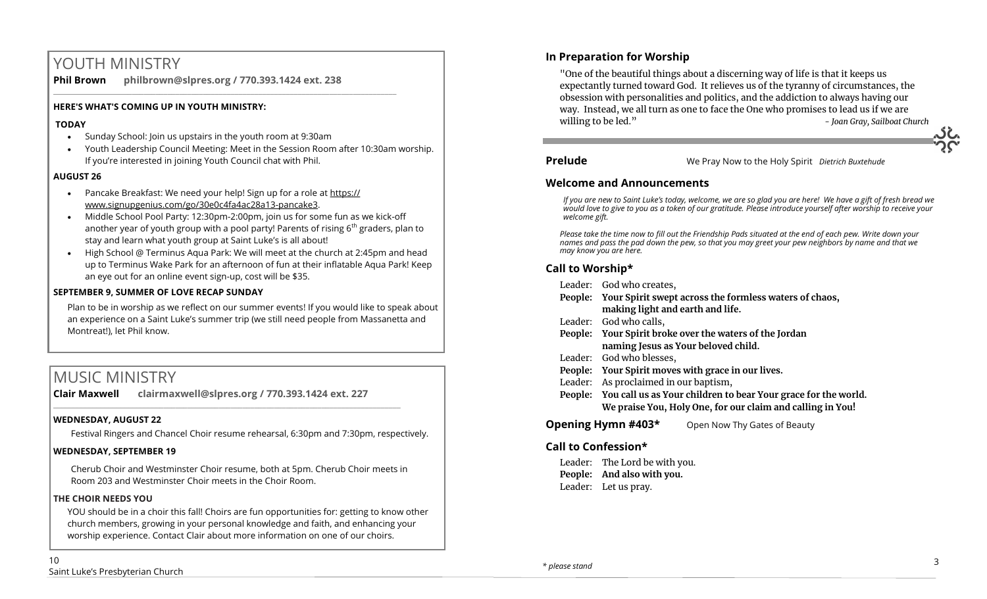# YOUTH MINISTRY

**Phil Brown philbrown@slpres.org / 770.393.1424 ext. 238**  \_\_\_\_\_\_\_\_\_\_\_\_\_\_\_\_\_\_\_\_\_\_\_\_\_\_\_\_\_\_\_\_\_\_\_\_\_\_\_\_\_\_\_\_\_\_\_\_\_\_\_\_\_\_\_\_\_\_\_\_\_\_\_\_\_\_\_\_\_\_\_\_\_\_\_\_\_\_\_\_\_\_\_\_\_\_\_

#### **HERE'S WHAT'S COMING UP IN YOUTH MINISTRY:**

#### **TODAY**

- Sunday School: Join us upstairs in the youth room at 9:30am
- Youth Leadership Council Meeting: Meet in the Session Room after 10:30am worship. If you're interested in joining Youth Council chat with Phil.

#### **AUGUST 26**

- Pancake Breakfast: We need your help! Sign up for a role at [https://](https://www.signupgenius.com/go/30e0c4fa4ac28a13-pancake3) [www.signupgenius.com/go/30e0c4fa4ac28a13](https://www.signupgenius.com/go/30e0c4fa4ac28a13-pancake3)-pancake3.
- Middle School Pool Party: 12:30pm-2:00pm, join us for some fun as we kick-off another year of youth group with a pool party! Parents of rising  $6<sup>th</sup>$  graders, plan to stay and learn what youth group at Saint Luke's is all about!
- High School @ Terminus Aqua Park: We will meet at the church at 2:45pm and head up to Terminus Wake Park for an afternoon of fun at their inflatable Aqua Park! Keep an eye out for an online event sign-up, cost will be \$35.

## **SEPTEMBER 9, SUMMER OF LOVE RECAP SUNDAY**

Plan to be in worship as we reflect on our summer events! If you would like to speak about an experience on a Saint Luke's summer trip (we still need people from Massanetta and Montreat!), let Phil know.

# MUSIC MINISTRY

**Clair Maxwell clairmaxwell@slpres.org / 770.393.1424 ext. 227**  \_\_\_\_\_\_\_\_\_\_\_\_\_\_\_\_\_\_\_\_\_\_\_\_\_\_\_\_\_\_\_\_\_\_\_\_\_\_\_\_\_\_\_\_\_\_\_\_\_\_\_\_\_\_\_\_\_\_\_\_\_\_\_\_\_\_\_\_\_\_\_\_\_\_\_\_\_\_\_\_\_\_\_\_\_\_\_\_

#### **WEDNESDAY, AUGUST 22**

Festival Ringers and Chancel Choir resume rehearsal, 6:30pm and 7:30pm, respectively.

#### **WEDNESDAY, SEPTEMBER 19**

Cherub Choir and Westminster Choir resume, both at 5pm. Cherub Choir meets in Room 203 and Westminster Choir meets in the Choir Room.

## **THE CHOIR NEEDS YOU**

YOU should be in a choir this fall! Choirs are fun opportunities for: getting to know other church members, growing in your personal knowledge and faith, and enhancing your worship experience. Contact Clair about more information on one of our choirs.

# **In Preparation for Worship**

"One of the beautiful things about a discerning way of life is that it keeps us expectantly turned toward God. It relieves us of the tyranny of circumstances, the obsession with personalities and politics, and the addiction to always having our way. Instead, we all turn as one to face the One who promises to lead us if we are willing to be led." *- Joan Gray, Sailboat Church*

**Prelude** We Pray Now to the Holy Spirit *Dietrich Buxtehude* 

## **Welcome and Announcements**

*If you are new to Saint Luke's today, welcome, we are so glad you are here! We have a gift of fresh bread we would love to give to you as a token of our gratitude. Please introduce yourself after worship to receive your welcome gift.*

*Please take the time now to fill out the Friendship Pads situated at the end of each pew. Write down your names and pass the pad down the pew, so that you may greet your pew neighbors by name and that we may know you are here.*

# **Call to Worship\***

- Leader: God who creates,
- **People: Your Spirit swept across the formless waters of chaos, making light and earth and life.**
- Leader: God who calls,
- **People: Your Spirit broke over the waters of the Jordan naming Jesus as Your beloved child.**
- Leader: God who blesses,
- **People: Your Spirit moves with grace in our lives.**
- Leader: As proclaimed in our baptism,
- **People: You call us as Your children to bear Your grace for the world. We praise You, Holy One, for our claim and calling in You!**

**Opening Hymn #403\*** Open Now Thy Gates of Beauty

# **Call to Confession\***

Leader: The Lord be with you. **People: And also with you.** Leader: Let us pray.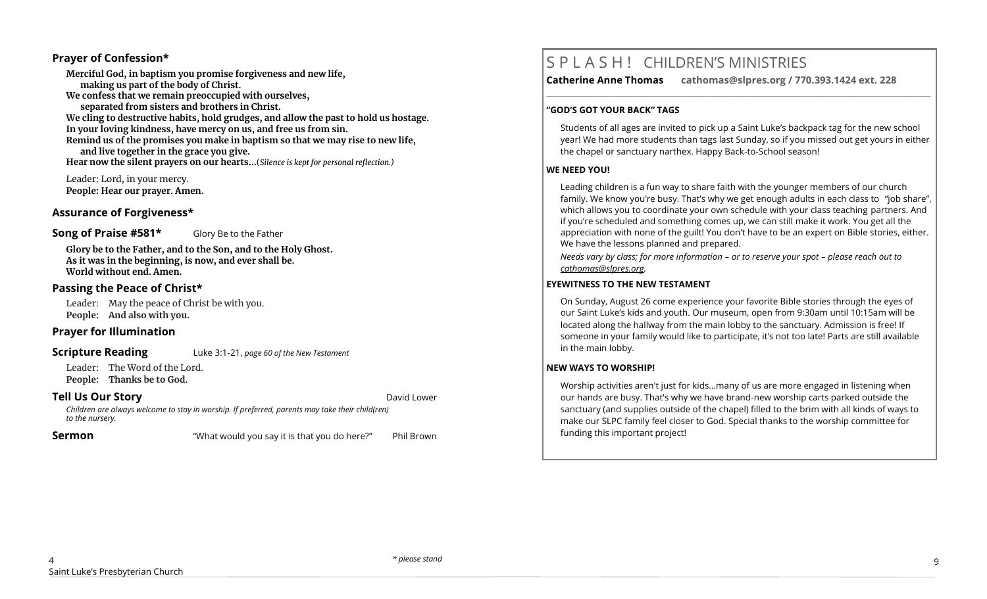## **Prayer of Confession\***

**Merciful God, in baptism you promise forgiveness and new life, making us part of the body of Christ. We confess that we remain preoccupied with ourselves, separated from sisters and brothers in Christ. We cling to destructive habits, hold grudges, and allow the past to hold us hostage. In your loving kindness, have mercy on us, and free us from sin. Remind us of the promises you make in baptism so that we may rise to new life, and live together in the grace you give. Hear now the silent prayers on our hearts...**(*Silence is kept for personal reflection.)*

Leader: Lord, in your mercy. **People: Hear our prayer. Amen.**

## **Assurance of Forgiveness\***

#### **Song of Praise #581\*** Glory Be to the Father

**Glory be to the Father, and to the Son, and to the Holy Ghost. As it was in the beginning, is now, and ever shall be. World without end. Amen.**

#### **Passing the Peace of Christ\***

Leader: May the peace of Christ be with you. **People: And also with you.** 

#### **Prayer for Illumination**

#### **Scripture Reading** Luke 3:1-21, *page 60 of the New Testament*

Leader: The Word of the Lord. **People: Thanks be to God.** 

#### **Tell Us Our Story David Lower Story <b>David Lower David Lower David Lower**

*Children are always welcome to stay in worship. If preferred, parents may take their child(ren) to the nursery.*

| Sermon | "What would you say it is that you do here?" | <b>Phil Brown</b> |
|--------|----------------------------------------------|-------------------|
|        |                                              |                   |

# S P L A S H ! CHILDREN'S MINISTRIES

**Catherine Anne Thomas cathomas@slpres.org / 770.393.1424 ext. 228** 

**\_\_\_\_\_\_\_\_\_\_\_\_\_\_\_\_\_\_\_\_\_\_\_\_\_\_\_\_\_\_\_\_\_\_\_\_\_\_\_\_\_\_\_\_\_\_\_\_\_\_\_\_\_\_\_\_\_\_\_\_\_\_\_\_\_\_\_\_\_\_\_\_\_\_\_\_\_\_\_\_\_\_\_\_\_\_\_\_\_\_\_\_\_\_\_\_\_\_\_\_\_\_\_\_\_\_** 

#### **"GOD'S GOT YOUR BACK" TAGS**

Students of all ages are invited to pick up a Saint Luke's backpack tag for the new school year! We had more students than tags last Sunday, so if you missed out get yours in either the chapel or sanctuary narthex. Happy Back-to-School season!

#### **WE NEED YOU!**

Leading children is a fun way to share faith with the younger members of our church family. We know you're busy. That's why we get enough adults in each class to "job share", which allows you to coordinate your own schedule with your class teaching partners. And if you're scheduled and something comes up, we can still make it work. You get all the appreciation with none of the guilt! You don't have to be an expert on Bible stories, either. We have the lessons planned and prepared.

*Needs vary by class; for more information – or to reserve your spot – please reach out to [cathomas@slpres.org.](mailto:cathomas@slpres.org)*

#### **EYEWITNESS TO THE NEW TESTAMENT**

On Sunday, August 26 come experience your favorite Bible stories through the eyes of our Saint Luke's kids and youth. Our museum, open from 9:30am until 10:15am will be located along the hallway from the main lobby to the sanctuary. Admission is free! If someone in your family would like to participate, it's not too late! Parts are still available in the main lobby.

#### **NEW WAYS TO WORSHIP!**

Worship activities aren't just for kids...many of us are more engaged in listening when our hands are busy. That's why we have brand-new worship carts parked outside the sanctuary (and supplies outside of the chapel) filled to the brim with all kinds of ways to make our SLPC family feel closer to God. Special thanks to the worship committee for funding this important project!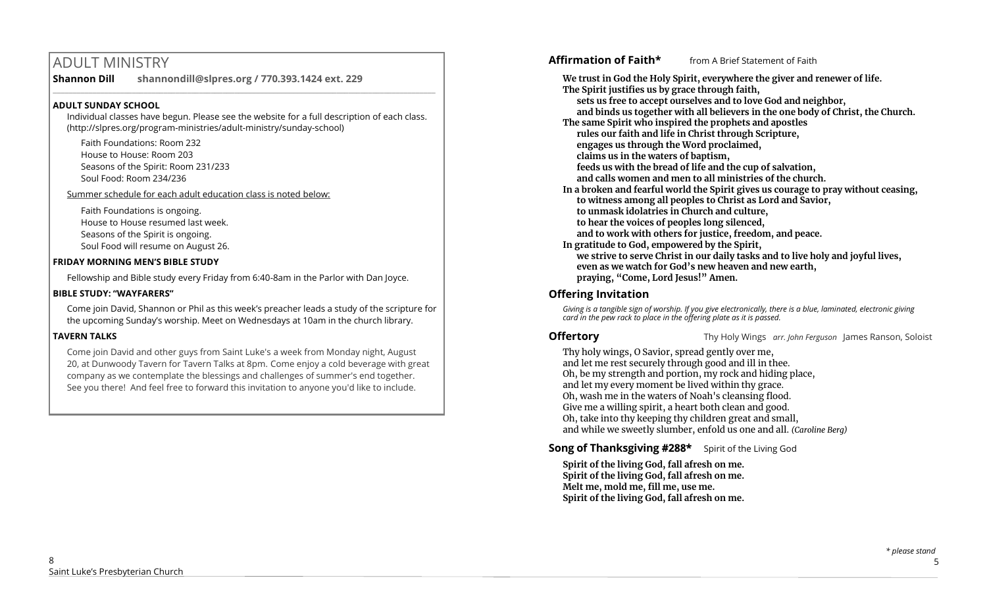# ADULT MINISTRY

**Shannon Dill shannondill@slpres.org / 770.393.1424 ext. 229** 

#### **ADULT SUNDAY SCHOOL**

Individual classes have begun. Please see the website for a full description of each class. (http://slpres.org/program-ministries/adult-ministry/sunday-school)

 $\_$  ,  $\_$  ,  $\_$  ,  $\_$  ,  $\_$  ,  $\_$  ,  $\_$  ,  $\_$  ,  $\_$  ,  $\_$  ,  $\_$  ,  $\_$  ,  $\_$  ,  $\_$  ,  $\_$  ,  $\_$  ,  $\_$  ,  $\_$  ,  $\_$ 

Faith Foundations: Room 232 House to House: Room 203 Seasons of the Spirit: Room 231/233 Soul Food: Room 234/236

#### Summer schedule for each adult education class is noted below:

Faith Foundations is ongoing. House to House resumed last week. Seasons of the Spirit is ongoing. Soul Food will resume on August 26.

#### **FRIDAY MORNING MEN'S BIBLE STUDY**

Fellowship and Bible study every Friday from 6:40-8am in the Parlor with Dan Joyce.

#### **BIBLE STUDY: "WAYFARERS"**

Come join David, Shannon or Phil as this week's preacher leads a study of the scripture for the upcoming Sunday's worship. Meet on Wednesdays at 10am in the church library.

#### **TAVERN TALKS**

Come join David and other guys from Saint Luke's a week from Monday night, August 20, at Dunwoody Tavern for Tavern Talks at 8pm. Come enjoy a cold beverage with great company as we contemplate the blessings and challenges of summer's end together. See you there! And feel free to forward this invitation to anyone you'd like to include.

#### **Affirmation of Faith\*** from A Brief Statement of Faith

**We trust in God the Holy Spirit, everywhere the giver and renewer of life. The Spirit justifies us by grace through faith, sets us free to accept ourselves and to love God and neighbor, and binds us together with all believers in the one body of Christ, the Church. The same Spirit who inspired the prophets and apostles rules our faith and life in Christ through Scripture, engages us through the Word proclaimed, claims us in the waters of baptism, feeds us with the bread of life and the cup of salvation, and calls women and men to all ministries of the church. In a broken and fearful world the Spirit gives us courage to pray without ceasing, to witness among all peoples to Christ as Lord and Savior, to unmask idolatries in Church and culture, to hear the voices of peoples long silenced, and to work with others for justice, freedom, and peace. In gratitude to God, empowered by the Spirit, we strive to serve Christ in our daily tasks and to live holy and joyful lives, even as we watch for God's new heaven and new earth, praying, "Come, Lord Jesus!" Amen.**

## **Offering Invitation**

*Giving is a tangible sign of worship. If you give electronically, there is a blue, laminated, electronic giving card in the pew rack to place in the offering plate as it is passed.*

**Offertory Thy Holy Wings** *arr. John Ferguson* James Ranson, Soloist

Thy holy wings, O Savior, spread gently over me, and let me rest securely through good and ill in thee. Oh, be my strength and portion, my rock and hiding place, and let my every moment be lived within thy grace. Oh, wash me in the waters of Noah's cleansing flood. Give me a willing spirit, a heart both clean and good. Oh, take into thy keeping thy children great and small, and while we sweetly slumber, enfold us one and all. *(Caroline Berg)*

## **Song of Thanksgiving #288\*** Spirit of the Living God

**Spirit of the living God, fall afresh on me. Spirit of the living God, fall afresh on me. Melt me, mold me, fill me, use me. Spirit of the living God, fall afresh on me.**